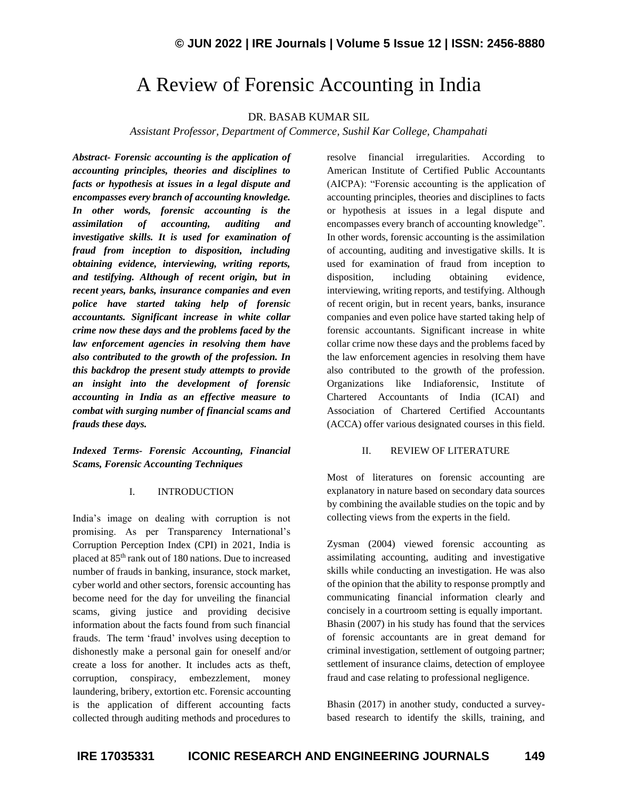# A Review of Forensic Accounting in India

# DR. BASAB KUMAR SIL

*Assistant Professor, Department of Commerce, Sushil Kar College, Champahati*

*Abstract- Forensic accounting is the application of accounting principles, theories and disciplines to facts or hypothesis at issues in a legal dispute and encompasses every branch of accounting knowledge. In other words, forensic accounting is the assimilation of accounting, auditing and investigative skills. It is used for examination of fraud from inception to disposition, including obtaining evidence, interviewing, writing reports, and testifying. Although of recent origin, but in recent years, banks, insurance companies and even police have started taking help of forensic accountants. Significant increase in white collar crime now these days and the problems faced by the law enforcement agencies in resolving them have also contributed to the growth of the profession. In this backdrop the present study attempts to provide an insight into the development of forensic accounting in India as an effective measure to combat with surging number of financial scams and frauds these days.*

*Indexed Terms- Forensic Accounting, Financial Scams, Forensic Accounting Techniques*

### I. INTRODUCTION

India's image on dealing with corruption is not promising. As per Transparency International's Corruption Perception Index (CPI) in 2021, India is placed at 85th rank out of 180 nations. Due to increased number of frauds in banking, insurance, stock market, cyber world and other sectors, forensic accounting has become need for the day for unveiling the financial scams, giving justice and providing decisive information about the facts found from such financial frauds. The term 'fraud' involves using deception to dishonestly make a personal gain for oneself and/or create a loss for another. It includes acts as theft, corruption, conspiracy, embezzlement, money laundering, bribery, extortion etc. Forensic accounting is the application of different accounting facts collected through auditing methods and procedures to resolve financial irregularities. According to American Institute of Certified Public Accountants (AICPA): "Forensic accounting is the application of accounting principles, theories and disciplines to facts or hypothesis at issues in a legal dispute and encompasses every branch of accounting knowledge". In other words, forensic accounting is the assimilation of accounting, auditing and investigative skills. It is used for examination of fraud from inception to disposition, including obtaining evidence, interviewing, writing reports, and testifying. Although of recent origin, but in recent years, banks, insurance companies and even police have started taking help of forensic accountants. Significant increase in white collar crime now these days and the problems faced by the law enforcement agencies in resolving them have also contributed to the growth of the profession. Organizations like Indiaforensic, Institute of Chartered Accountants of India (ICAI) and Association of Chartered Certified Accountants (ACCA) offer various designated courses in this field.

## II. REVIEW OF LITERATURE

Most of literatures on forensic accounting are explanatory in nature based on secondary data sources by combining the available studies on the topic and by collecting views from the experts in the field.

Zysman (2004) viewed forensic accounting as assimilating accounting, auditing and investigative skills while conducting an investigation. He was also of the opinion that the ability to response promptly and communicating financial information clearly and concisely in a courtroom setting is equally important. Bhasin (2007) in his study has found that the services of forensic accountants are in great demand for criminal investigation, settlement of outgoing partner; settlement of insurance claims, detection of employee fraud and case relating to professional negligence.

Bhasin (2017) in another study, conducted a surveybased research to identify the skills, training, and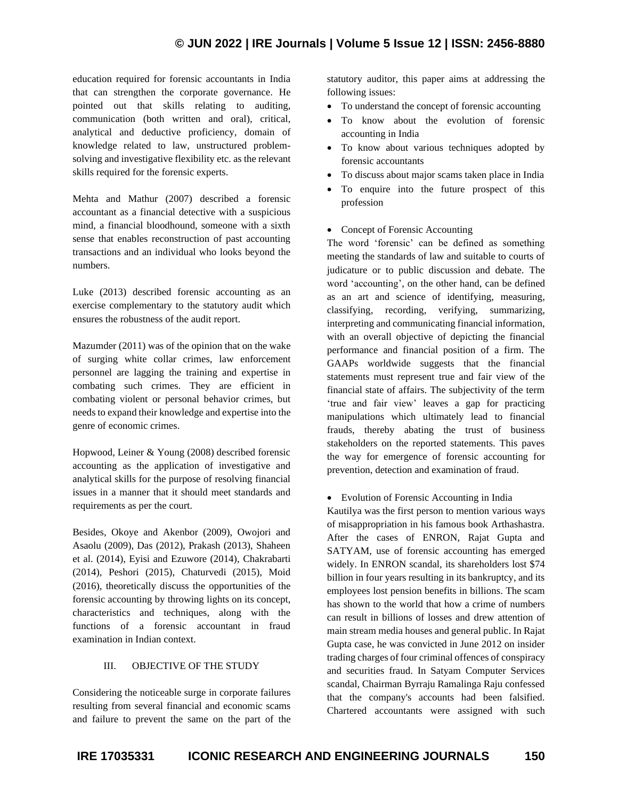education required for forensic accountants in India that can strengthen the corporate governance. He pointed out that skills relating to auditing, communication (both written and oral), critical, analytical and deductive proficiency, domain of knowledge related to law, unstructured problemsolving and investigative flexibility etc. as the relevant skills required for the forensic experts.

Mehta and Mathur (2007) described a forensic accountant as a financial detective with a suspicious mind, a financial bloodhound, someone with a sixth sense that enables reconstruction of past accounting transactions and an individual who looks beyond the numbers.

Luke (2013) described forensic accounting as an exercise complementary to the statutory audit which ensures the robustness of the audit report.

Mazumder (2011) was of the opinion that on the wake of surging white collar crimes, law enforcement personnel are lagging the training and expertise in combating such crimes. They are efficient in combating violent or personal behavior crimes, but needs to expand their knowledge and expertise into the genre of economic crimes.

Hopwood, Leiner & Young (2008) described forensic accounting as the application of investigative and analytical skills for the purpose of resolving financial issues in a manner that it should meet standards and requirements as per the court.

Besides, Okoye and Akenbor (2009), Owojori and Asaolu (2009), Das (2012), Prakash (2013), Shaheen et al. (2014), Eyisi and Ezuwore (2014), Chakrabarti (2014), Peshori (2015), Chaturvedi (2015), Moid (2016), theoretically discuss the opportunities of the forensic accounting by throwing lights on its concept, characteristics and techniques, along with the functions of a forensic accountant in fraud examination in Indian context.

# III. OBJECTIVE OF THE STUDY

Considering the noticeable surge in corporate failures resulting from several financial and economic scams and failure to prevent the same on the part of the statutory auditor, this paper aims at addressing the following issues:

- To understand the concept of forensic accounting
- To know about the evolution of forensic accounting in India
- To know about various techniques adopted by forensic accountants
- To discuss about major scams taken place in India
- To enquire into the future prospect of this profession
- Concept of Forensic Accounting

The word 'forensic' can be defined as something meeting the standards of law and suitable to courts of judicature or to public discussion and debate. The word 'accounting', on the other hand, can be defined as an art and science of identifying, measuring, classifying, recording, verifying, summarizing, interpreting and communicating financial information, with an overall objective of depicting the financial performance and financial position of a firm. The GAAPs worldwide suggests that the financial statements must represent true and fair view of the financial state of affairs. The subjectivity of the term 'true and fair view' leaves a gap for practicing manipulations which ultimately lead to financial frauds, thereby abating the trust of business stakeholders on the reported statements. This paves the way for emergence of forensic accounting for prevention, detection and examination of fraud.

• Evolution of Forensic Accounting in India

Kautilya was the first person to mention various ways of misappropriation in his famous book Arthashastra. After the cases of ENRON, Rajat Gupta and SATYAM, use of forensic accounting has emerged widely. In ENRON scandal, its shareholders lost \$74 billion in four years resulting in its bankruptcy, and its employees lost pension benefits in billions. The scam has shown to the world that how a crime of numbers can result in billions of losses and drew attention of main stream media houses and general public. In Rajat Gupta case, he was convicted in June 2012 on insider trading charges of four criminal offences of conspiracy and securities fraud. In Satyam Computer Services scandal, Chairman Byrraju Ramalinga Raju confessed that the company's accounts had been falsified. Chartered accountants were assigned with such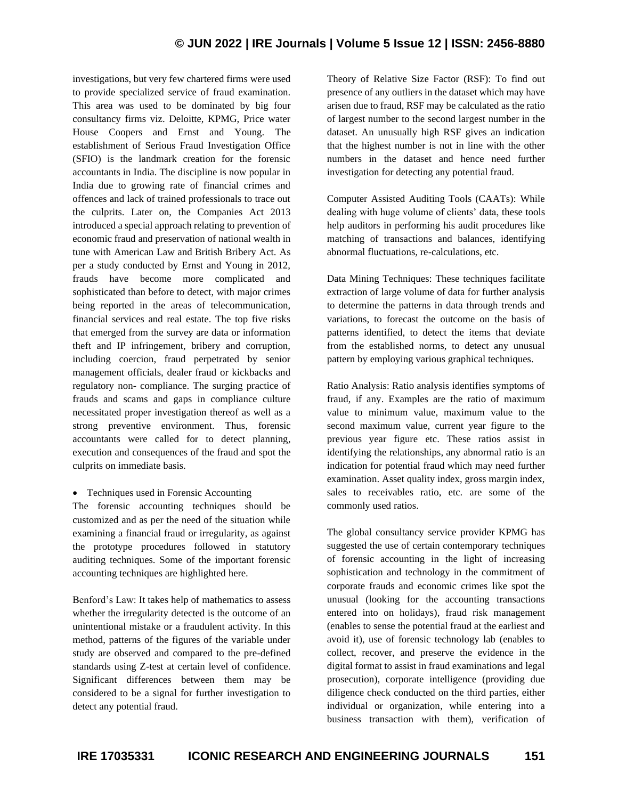# **© JUN 2022 | IRE Journals | Volume 5 Issue 12 | ISSN: 2456-8880**

investigations, but very few chartered firms were used to provide specialized service of fraud examination. This area was used to be dominated by big four consultancy firms viz. Deloitte, KPMG, Price water House Coopers and Ernst and Young. The establishment of Serious Fraud Investigation Office (SFIO) is the landmark creation for the forensic accountants in India. The discipline is now popular in India due to growing rate of financial crimes and offences and lack of trained professionals to trace out the culprits. Later on, the Companies Act 2013 introduced a special approach relating to prevention of economic fraud and preservation of national wealth in tune with American Law and British Bribery Act. As per a study conducted by Ernst and Young in 2012, frauds have become more complicated and sophisticated than before to detect, with major crimes being reported in the areas of telecommunication, financial services and real estate. The top five risks that emerged from the survey are data or information theft and IP infringement, bribery and corruption, including coercion, fraud perpetrated by senior management officials, dealer fraud or kickbacks and regulatory non- compliance. The surging practice of frauds and scams and gaps in compliance culture necessitated proper investigation thereof as well as a strong preventive environment. Thus, forensic accountants were called for to detect planning, execution and consequences of the fraud and spot the culprits on immediate basis.

• Techniques used in Forensic Accounting

The forensic accounting techniques should be customized and as per the need of the situation while examining a financial fraud or irregularity, as against the prototype procedures followed in statutory auditing techniques. Some of the important forensic accounting techniques are highlighted here.

Benford's Law: It takes help of mathematics to assess whether the irregularity detected is the outcome of an unintentional mistake or a fraudulent activity. In this method, patterns of the figures of the variable under study are observed and compared to the pre-defined standards using Z-test at certain level of confidence. Significant differences between them may be considered to be a signal for further investigation to detect any potential fraud.

Theory of Relative Size Factor (RSF): To find out presence of any outliers in the dataset which may have arisen due to fraud, RSF may be calculated as the ratio of largest number to the second largest number in the dataset. An unusually high RSF gives an indication that the highest number is not in line with the other numbers in the dataset and hence need further investigation for detecting any potential fraud.

Computer Assisted Auditing Tools (CAATs): While dealing with huge volume of clients' data, these tools help auditors in performing his audit procedures like matching of transactions and balances, identifying abnormal fluctuations, re-calculations, etc.

Data Mining Techniques: These techniques facilitate extraction of large volume of data for further analysis to determine the patterns in data through trends and variations, to forecast the outcome on the basis of patterns identified, to detect the items that deviate from the established norms, to detect any unusual pattern by employing various graphical techniques.

Ratio Analysis: Ratio analysis identifies symptoms of fraud, if any. Examples are the ratio of maximum value to minimum value, maximum value to the second maximum value, current year figure to the previous year figure etc. These ratios assist in identifying the relationships, any abnormal ratio is an indication for potential fraud which may need further examination. Asset quality index, gross margin index, sales to receivables ratio, etc. are some of the commonly used ratios.

The global consultancy service provider KPMG has suggested the use of certain contemporary techniques of forensic accounting in the light of increasing sophistication and technology in the commitment of corporate frauds and economic crimes like spot the unusual (looking for the accounting transactions entered into on holidays), fraud risk management (enables to sense the potential fraud at the earliest and avoid it), use of forensic technology lab (enables to collect, recover, and preserve the evidence in the digital format to assist in fraud examinations and legal prosecution), corporate intelligence (providing due diligence check conducted on the third parties, either individual or organization, while entering into a business transaction with them), verification of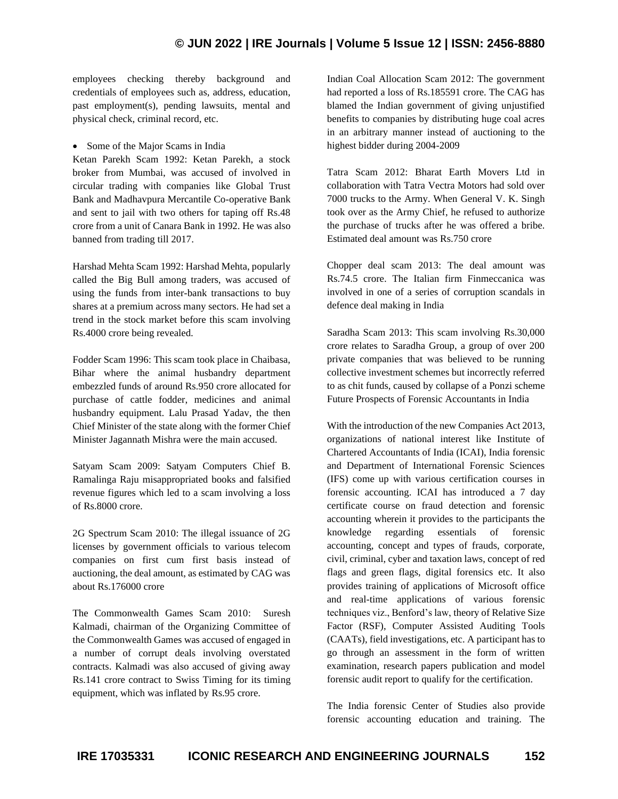# **© JUN 2022 | IRE Journals | Volume 5 Issue 12 | ISSN: 2456-8880**

employees checking thereby background and credentials of employees such as, address, education, past employment(s), pending lawsuits, mental and physical check, criminal record, etc.

• Some of the Major Scams in India

Ketan Parekh Scam 1992: Ketan Parekh, a stock broker from Mumbai, was accused of involved in circular trading with companies like Global Trust Bank and Madhavpura Mercantile Co-operative Bank and sent to jail with two others for taping off Rs.48 crore from a unit of Canara Bank in 1992. He was also banned from trading till 2017.

Harshad Mehta Scam 1992: Harshad Mehta, popularly called the Big Bull among traders, was accused of using the funds from inter-bank transactions to buy shares at a premium across many sectors. He had set a trend in the stock market before this scam involving Rs.4000 crore being revealed.

Fodder Scam 1996: This scam took place in Chaibasa, Bihar where the animal husbandry department embezzled funds of around Rs.950 crore allocated for purchase of cattle fodder, medicines and animal husbandry equipment. Lalu Prasad Yadav, the then Chief Minister of the state along with the former Chief Minister Jagannath Mishra were the main accused.

Satyam Scam 2009: Satyam Computers Chief B. Ramalinga Raju misappropriated books and falsified revenue figures which led to a scam involving a loss of Rs.8000 crore.

2G Spectrum Scam 2010: The illegal issuance of 2G licenses by government officials to various telecom companies on first cum first basis instead of auctioning, the deal amount, as estimated by CAG was about Rs.176000 crore

The Commonwealth Games Scam 2010: Suresh Kalmadi, chairman of the Organizing Committee of the Commonwealth Games was accused of engaged in a number of corrupt deals involving overstated contracts. Kalmadi was also accused of giving away Rs.141 crore contract to Swiss Timing for its timing equipment, which was inflated by Rs.95 crore.

Indian Coal Allocation Scam 2012: The government had reported a loss of Rs.185591 crore. The CAG has blamed the Indian government of giving unjustified benefits to companies by distributing huge coal acres in an arbitrary manner instead of auctioning to the highest bidder during 2004-2009

Tatra Scam 2012: Bharat Earth Movers Ltd in collaboration with Tatra Vectra Motors had sold over 7000 trucks to the Army. When General V. K. Singh took over as the Army Chief, he refused to authorize the purchase of trucks after he was offered a bribe. Estimated deal amount was Rs.750 crore

Chopper deal scam 2013: The deal amount was Rs.74.5 crore. The Italian firm Finmeccanica was involved in one of a series of corruption scandals in defence deal making in India

Saradha Scam 2013: This scam involving Rs.30,000 crore relates to Saradha Group, a group of over 200 private companies that was believed to be running collective investment schemes but incorrectly referred to as chit funds, caused by collapse of a Ponzi scheme Future Prospects of Forensic Accountants in India

With the introduction of the new Companies Act 2013, organizations of national interest like Institute of Chartered Accountants of India (ICAI), India forensic and Department of International Forensic Sciences (IFS) come up with various certification courses in forensic accounting. ICAI has introduced a 7 day certificate course on fraud detection and forensic accounting wherein it provides to the participants the knowledge regarding essentials of forensic accounting, concept and types of frauds, corporate, civil, criminal, cyber and taxation laws, concept of red flags and green flags, digital forensics etc. It also provides training of applications of Microsoft office and real-time applications of various forensic techniques viz., Benford's law, theory of Relative Size Factor (RSF), Computer Assisted Auditing Tools (CAATs), field investigations, etc. A participant has to go through an assessment in the form of written examination, research papers publication and model forensic audit report to qualify for the certification.

The India forensic Center of Studies also provide forensic accounting education and training. The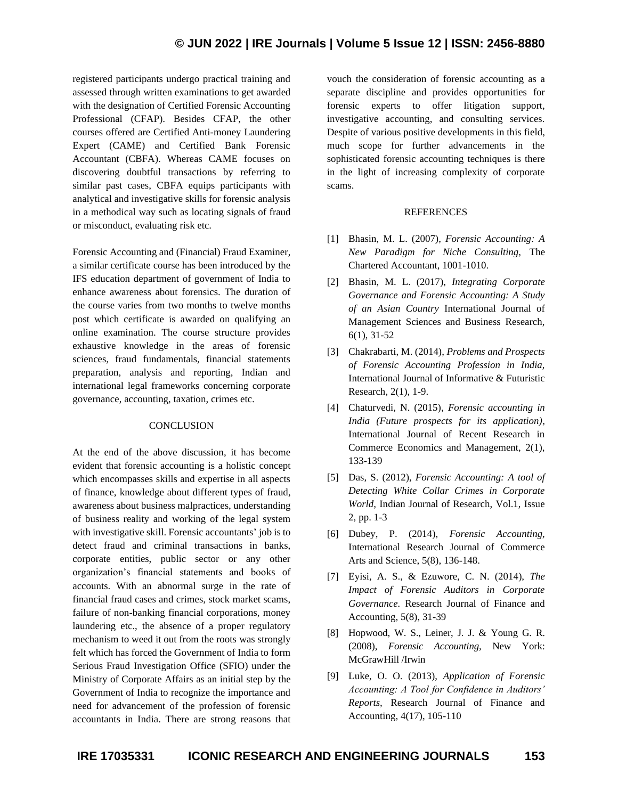registered participants undergo practical training and assessed through written examinations to get awarded with the designation of Certified Forensic Accounting Professional (CFAP). Besides CFAP, the other courses offered are Certified Anti-money Laundering Expert (CAME) and Certified Bank Forensic Accountant (CBFA). Whereas CAME focuses on discovering doubtful transactions by referring to similar past cases, CBFA equips participants with analytical and investigative skills for forensic analysis in a methodical way such as locating signals of fraud or misconduct, evaluating risk etc.

Forensic Accounting and (Financial) Fraud Examiner, a similar certificate course has been introduced by the IFS education department of government of India to enhance awareness about forensics. The duration of the course varies from two months to twelve months post which certificate is awarded on qualifying an online examination. The course structure provides exhaustive knowledge in the areas of forensic sciences, fraud fundamentals, financial statements preparation, analysis and reporting, Indian and international legal frameworks concerning corporate governance, accounting, taxation, crimes etc.

# **CONCLUSION**

At the end of the above discussion, it has become evident that forensic accounting is a holistic concept which encompasses skills and expertise in all aspects of finance, knowledge about different types of fraud, awareness about business malpractices, understanding of business reality and working of the legal system with investigative skill. Forensic accountants' job is to detect fraud and criminal transactions in banks, corporate entities, public sector or any other organization's financial statements and books of accounts. With an abnormal surge in the rate of financial fraud cases and crimes, stock market scams, failure of non-banking financial corporations, money laundering etc., the absence of a proper regulatory mechanism to weed it out from the roots was strongly felt which has forced the Government of India to form Serious Fraud Investigation Office (SFIO) under the Ministry of Corporate Affairs as an initial step by the Government of India to recognize the importance and need for advancement of the profession of forensic accountants in India. There are strong reasons that vouch the consideration of forensic accounting as a separate discipline and provides opportunities for forensic experts to offer litigation support, investigative accounting, and consulting services. Despite of various positive developments in this field, much scope for further advancements in the sophisticated forensic accounting techniques is there in the light of increasing complexity of corporate scams.

### REFERENCES

- [1] Bhasin, M. L. (2007), *Forensic Accounting: A New Paradigm for Niche Consulting,* The Chartered Accountant, 1001-1010.
- [2] Bhasin, M. L. (2017), *Integrating Corporate Governance and Forensic Accounting: A Study of an Asian Country* International Journal of Management Sciences and Business Research, 6(1), 31-52
- [3] Chakrabarti, M. (2014), *Problems and Prospects of Forensic Accounting Profession in India,* International Journal of Informative & Futuristic Research, 2(1), 1-9.
- [4] Chaturvedi, N. (2015), *Forensic accounting in India (Future prospects for its application),* International Journal of Recent Research in Commerce Economics and Management, 2(1), 133-139
- [5] Das, S. (2012), *Forensic Accounting: A tool of Detecting White Collar Crimes in Corporate World,* Indian Journal of Research, Vol.1, Issue 2, pp. 1-3
- [6] Dubey, P. (2014), *Forensic Accounting,* International Research Journal of Commerce Arts and Science, 5(8), 136-148.
- [7] Eyisi, A. S., & Ezuwore, C. N. (2014), *The Impact of Forensic Auditors in Corporate Governance.* Research Journal of Finance and Accounting, 5(8), 31-39
- [8] Hopwood, W. S., Leiner, J. J. & Young G. R. (2008), *Forensic Accounting,* New York: McGrawHill /Irwin
- [9] Luke, O. O. (2013), *Application of Forensic Accounting: A Tool for Confidence in Auditors' Reports,* Research Journal of Finance and Accounting, 4(17), 105-110